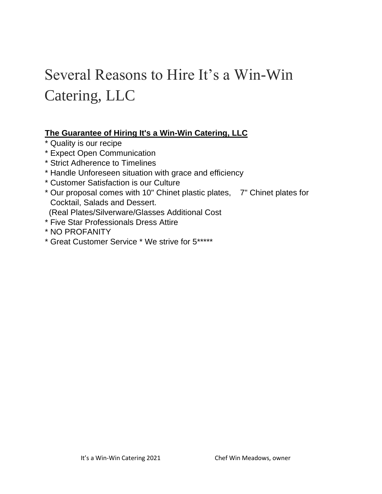# Several Reasons to Hire It's a Win-Win Catering, LLC

### **The Guarantee of Hiring It's a Win-Win Catering, LLC**

- \* Quality is our recipe
- \* Expect Open Communication
- \* Strict Adherence to Timelines
- \* Handle Unforeseen situation with grace and efficiency
- \* Customer Satisfaction is our Culture
- \* Our proposal comes with 10" Chinet plastic plates, 7" Chinet plates for Cocktail, Salads and Dessert.
- (Real Plates/Silverware/Glasses Additional Cost
- \* Five Star Professionals Dress Attire
- \* NO PROFANITY
- \* Great Customer Service \* We strive for 5\*\*\*\*\*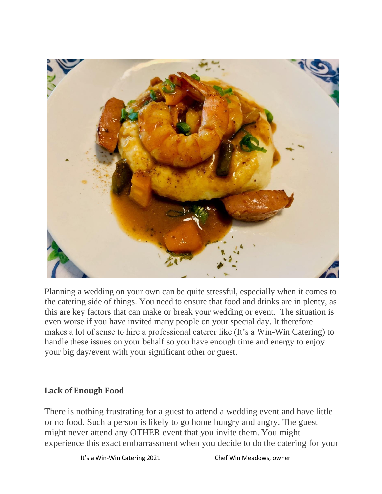

Planning a wedding on your own can be quite stressful, especially when it comes to the catering side of things. You need to ensure that food and drinks are in plenty, as this are key factors that can make or break your wedding or event. The situation is even worse if you have invited many people on your special day. It therefore makes a lot of sense to hire a professional caterer like (It's a Win-Win Catering) to handle these issues on your behalf so you have enough time and energy to enjoy your big day/event with your significant other or guest.

### **Lack of Enough Food**

There is nothing frustrating for a guest to attend a wedding event and have little or no food. Such a person is likely to go home hungry and angry. The guest might never attend any OTHER event that you invite them. You might experience this exact embarrassment when you decide to do the catering for your

It's a Win-Win Catering 2021 Chef Win Meadows, owner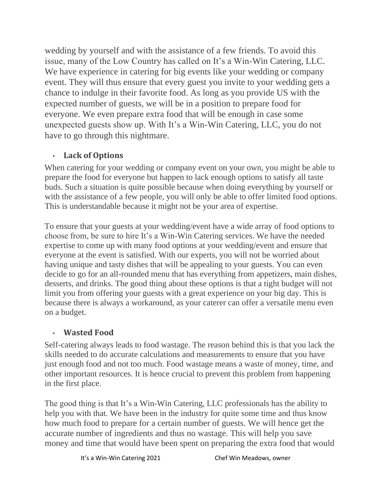wedding by yourself and with the assistance of a few friends. To avoid this issue, many of the Low Country has called on It's a Win-Win Catering, LLC. We have experience in catering for big events like your wedding or company event. They will thus ensure that every guest you invite to your wedding gets a chance to indulge in their favorite food. As long as you provide US with the expected number of guests, we will be in a position to prepare food for everyone. We even prepare extra food that will be enough in case some unexpected guests show up. With It's a Win-Win Catering, LLC, you do not have to go through this nightmare.

## • **Lack of Options**

When catering for your wedding or company event on your own, you might be able to prepare the food for everyone but happen to lack enough options to satisfy all taste buds. Such a situation is quite possible because when doing everything by yourself or with the assistance of a few people, you will only be able to offer limited food options. This is understandable because it might not be your area of expertise.

To ensure that your guests at your wedding/event have a wide array of food options to choose from, be sure to hire It's a Win-Win Catering services. We have the needed expertise to come up with many food options at your wedding/event and ensure that everyone at the event is satisfied. With our experts, you will not be worried about having unique and tasty dishes that will be appealing to your guests. You can even decide to go for an all-rounded menu that has everything from appetizers, main dishes, desserts, and drinks. The good thing about these options is that a tight budget will not limit you from offering your guests with a great experience on your big day. This is because there is always a workaround, as your caterer can offer a versatile menu even on a budget.

# • **Wasted Food**

Self-catering always leads to food wastage. The reason behind this is that you lack the skills needed to do accurate calculations and measurements to ensure that you have just enough food and not too much. Food wastage means a waste of money, time, and other important resources. It is hence crucial to prevent this problem from happening in the first place.

The good thing is that It's a Win-Win Catering, LLC professionals has the ability to help you with that. We have been in the industry for quite some time and thus know how much food to prepare for a certain number of guests. We will hence get the accurate number of ingredients and thus no wastage. This will help you save money and time that would have been spent on preparing the extra food that would

It's a Win-Win Catering 2021 Chef Win Meadows, owner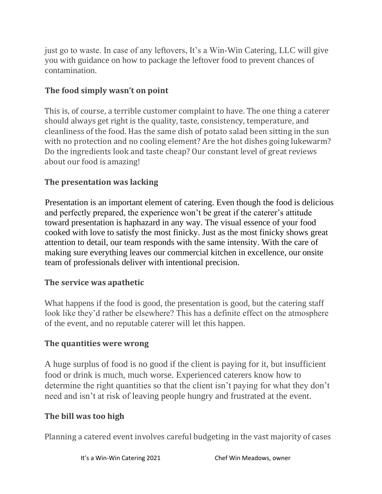just go to waste. In case of any leftovers, It's a Win-Win Catering, LLC will give you with guidance on how to package the leftover food to prevent chances of contamination.

## **The food simply wasn't on point**

This is, of course, a terrible customer complaint to have. The one thing a caterer should always get right is the quality, taste, consistency, temperature, and cleanliness of the food. Has the same dish of potato salad been sitting in the sun with no protection and no cooling element? Are the hot dishes going lukewarm? Do the ingredients look and taste cheap? Our constant level of great reviews about our food is amazing!

# **The presentation was lacking**

Presentation is an important element of catering. Even though the food is delicious and perfectly prepared, the experience won't be great if the caterer's attitude toward presentation is haphazard in any way. The visual essence of your food cooked with love to satisfy the most finicky. Just as the most finicky shows great attention to detail, our team responds with the same intensity. With the care of making sure everything leaves our commercial kitchen in excellence, our onsite team of professionals deliver with intentional precision.

### **The service was apathetic**

What happens if the food is good, the presentation is good, but the catering staff look like they'd rather be elsewhere? This has a definite effect on the atmosphere of the event, and no reputable caterer will let this happen.

#### **The quantities were wrong**

A huge surplus of food is no good if the client is paying for it, but insufficient food or drink is much, much worse. Experienced caterers know how to determine the right quantities so that the client isn't paying for what they don't need and isn't at risk of leaving people hungry and frustrated at the event.

#### **The bill was too high**

Planning a catered event involves careful budgeting in the vast majority of cases